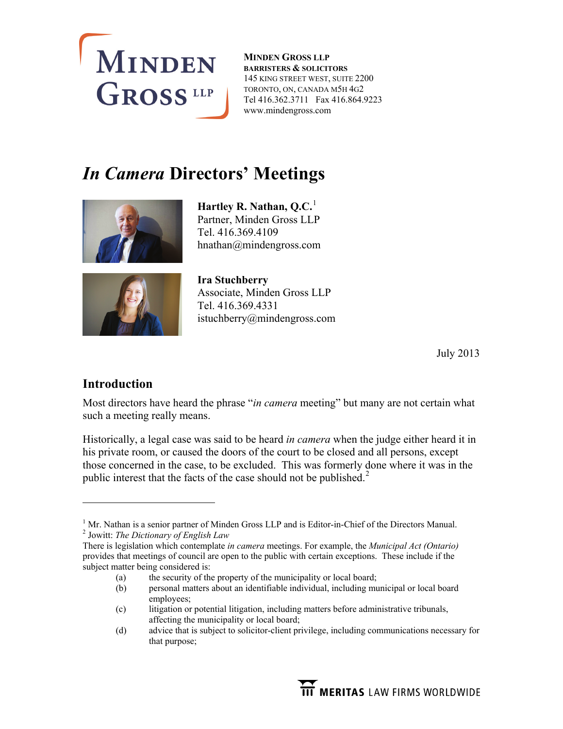

**MINDEN GROSS LLP BARRISTERS & SOLICITORS** 145 KING STREET WEST, SUITE 2200 TORONTO, ON, CANADA M5H 4G2 Tel 416.362.3711 Fax 416.864.9223 www.mindengross.com

# *In Camera* **Directors' Meetings**



**Hartley R. Nathan, Q.C.**<sup>[1](#page-0-0)</sup> Partner, Minden Gross LLP Tel. 416.369.4109 hnathan@mindengross.com



**Ira Stuchberry**  Associate, Minden Gross LLP Tel. 416.369.4331 istuchberry@mindengross.com

July 2013

## **Introduction**

 $\overline{a}$ 

Most directors have heard the phrase "*in camera* meeting" but many are not certain what such a meeting really means.

Historically, a legal case was said to be heard *in camera* when the judge either heard it in his private room, or caused the doors of the court to be closed and all persons, except those concerned in the case, to be excluded. This was formerly done where it was in the public interest that the facts of the case should not be published. $2^2$  $2^2$ 

- (a) the security of the property of the municipality or local board;
- (b) personal matters about an identifiable individual, including municipal or local board employees;
- (c) litigation or potential litigation, including matters before administrative tribunals, affecting the municipality or local board;
- (d) advice that is subject to solicitor-client privilege, including communications necessary for that purpose;

<span id="page-0-1"></span><span id="page-0-0"></span><sup>&</sup>lt;sup>1</sup> Mr. Nathan is a senior partner of Minden Gross LLP and is Editor-in-Chief of the Directors Manual. 2 Jowitt: *The Dictionary of English Law*

There is legislation which contemplate *in camera* meetings. For example, the *Municipal Act (Ontario)* provides that meetings of council are open to the public with certain exceptions. These include if the subject matter being considered is: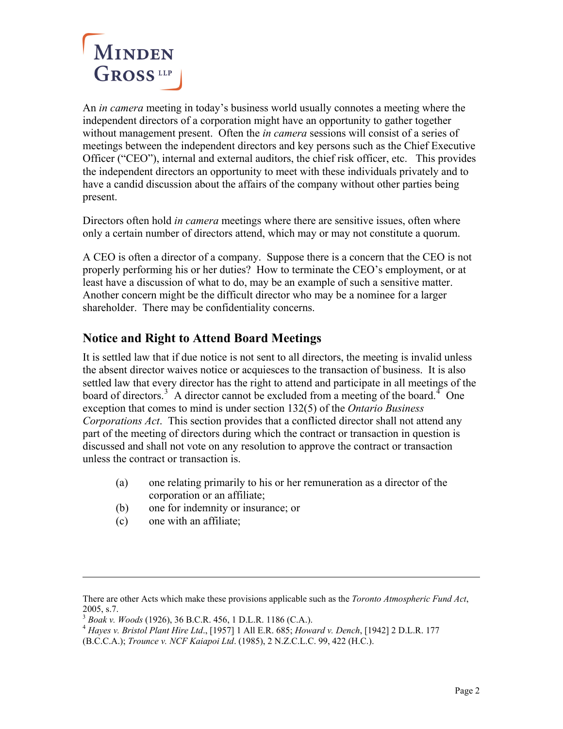

An *in camera* meeting in today's business world usually connotes a meeting where the independent directors of a corporation might have an opportunity to gather together without management present. Often the *in camera* sessions will consist of a series of meetings between the independent directors and key persons such as the Chief Executive Officer ("CEO"), internal and external auditors, the chief risk officer, etc. This provides the independent directors an opportunity to meet with these individuals privately and to have a candid discussion about the affairs of the company without other parties being present.

Directors often hold *in camera* meetings where there are sensitive issues, often where only a certain number of directors attend, which may or may not constitute a quorum.

A CEO is often a director of a company. Suppose there is a concern that the CEO is not properly performing his or her duties? How to terminate the CEO's employment, or at least have a discussion of what to do, may be an example of such a sensitive matter. Another concern might be the difficult director who may be a nominee for a larger shareholder. There may be confidentiality concerns.

## **Notice and Right to Attend Board Meetings**

It is settled law that if due notice is not sent to all directors, the meeting is invalid unless the absent director waives notice or acquiesces to the transaction of business. It is also settled law that every director has the right to attend and participate in all meetings of the board of directors.<sup>[3](#page-1-0)</sup> A director cannot be excluded from a meeting of the board.<sup>[4](#page-1-1)</sup> One exception that comes to mind is under section 132(5) of the *Ontario Business Corporations Act*.This section provides that a conflicted director shall not attend any part of the meeting of directors during which the contract or transaction in question is discussed and shall not vote on any resolution to approve the contract or transaction unless the contract or transaction is.

- (a) one relating primarily to his or her remuneration as a director of the corporation or an affiliate;
- (b) one for indemnity or insurance; or
- (c) one with an affiliate;

 $\overline{a}$ 

There are other Acts which make these provisions applicable such as the *Toronto Atmospheric Fund Act*, 2005, s.7.<br><sup>3</sup> Boak v. Woods (1926), 36 B.C.R. 456, 1 D.L.R. 1186 (C.A.).

<span id="page-1-1"></span><span id="page-1-0"></span><sup>&</sup>lt;sup>4</sup> *Hayes v. Bristol Plant Hire Ltd.*, [1957] 1 All E.R. 685; *Howard v. Dench*, [1942] 2 D.L.R. 177

<sup>(</sup>B.C.C.A.); *Trounce v. NCF Kaiapoi Ltd*. (1985), 2 N.Z.C.L.C. 99, 422 (H.C.).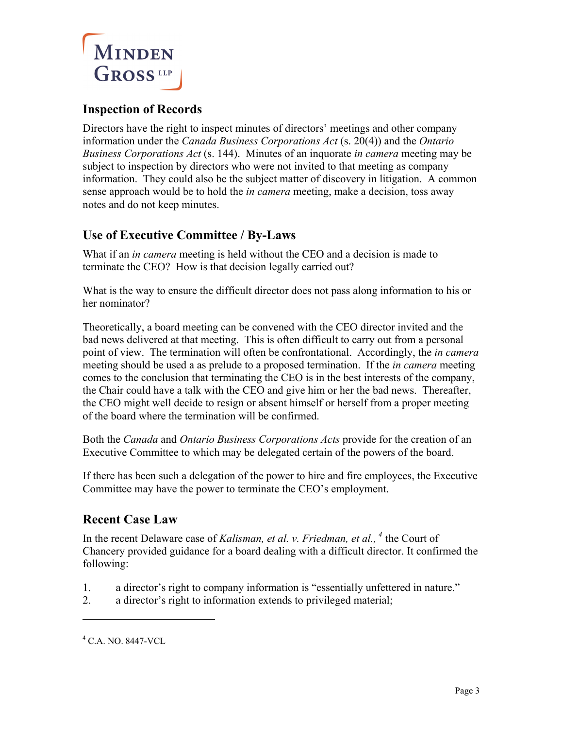

### **Inspection of Records**

Directors have the right to inspect minutes of directors' meetings and other company information under the *Canada Business Corporations Act* (s. 20(4)) and the *Ontario Business Corporations Act* (s. 144). Minutes of an inquorate *in camera* meeting may be subject to inspection by directors who were not invited to that meeting as company information. They could also be the subject matter of discovery in litigation. A common sense approach would be to hold the *in camera* meeting, make a decision, toss away notes and do not keep minutes.

## **Use of Executive Committee / By-Laws**

What if an *in camera* meeting is held without the CEO and a decision is made to terminate the CEO? How is that decision legally carried out?

What is the way to ensure the difficult director does not pass along information to his or her nominator?

Theoretically, a board meeting can be convened with the CEO director invited and the bad news delivered at that meeting. This is often difficult to carry out from a personal point of view. The termination will often be confrontational. Accordingly, the *in camera* meeting should be used a as prelude to a proposed termination. If the *in camera* meeting comes to the conclusion that terminating the CEO is in the best interests of the company, the Chair could have a talk with the CEO and give him or her the bad news. Thereafter, the CEO might well decide to resign or absent himself or herself from a proper meeting of the board where the termination will be confirmed.

Both the *Canada* and *Ontario Business Corporations Acts* provide for the creation of an Executive Committee to which may be delegated certain of the powers of the board.

If there has been such a delegation of the power to hire and fire employees, the Executive Committee may have the power to terminate the CEO's employment.

#### **Recent Case Law**

In the recent Delaware case of *Kalisman, et al. v. Friedman, et al., [4](#page-2-0)* the Court of Chancery provided guidance for a board dealing with a difficult director. It confirmed the following:

- 1. a director's right to company information is "essentially unfettered in nature."
- 2. a director's right to information extends to privileged material;

 $\overline{a}$ 

<span id="page-2-0"></span><sup>4</sup> C.A. NO. 8447-VCL